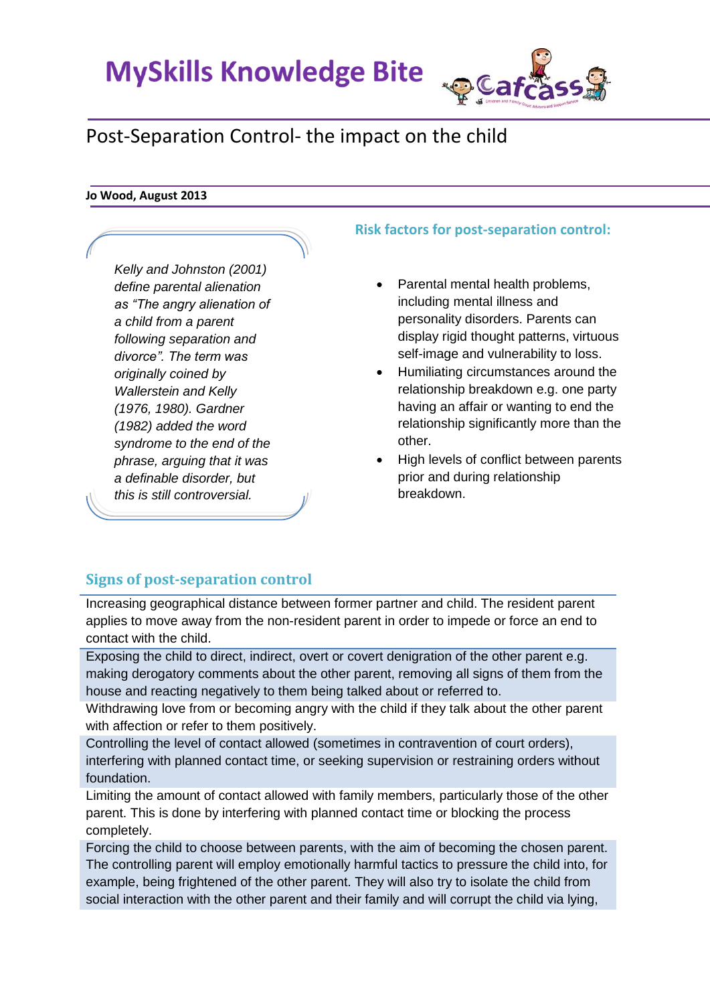**MySkills Knowledge Bite** 

# **QCafca**

# Post-Separation Control- the impact on the child

#### **Jo Wood, August 2013**

*Kelly and Johnston (2001) define parental alienation as "The angry alienation of a child from a parent following separation and divorce". The term was originally coined by Wallerstein and Kelly (1976, 1980). Gardner (1982) added the word syndrome to the end of the phrase, arguing that it was a definable disorder, but this is still controversial.* 

## **Risk factors for post-separation control:**

- Parental mental health problems, including mental illness and personality disorders. Parents can display rigid thought patterns, virtuous self-image and vulnerability to loss.
- Humiliating circumstances around the relationship breakdown e.g. one party having an affair or wanting to end the relationship significantly more than the other.
- High levels of conflict between parents prior and during relationship breakdown.

# **Signs of post-separation control**

Increasing geographical distance between former partner and child. The resident parent applies to move away from the non-resident parent in order to impede or force an end to contact with the child.

Exposing the child to direct, indirect, overt or covert denigration of the other parent e.g. making derogatory comments about the other parent, removing all signs of them from the house and reacting negatively to them being talked about or referred to.

Withdrawing love from or becoming angry with the child if they talk about the other parent with affection or refer to them positively.

Controlling the level of contact allowed (sometimes in contravention of court orders), interfering with planned contact time, or seeking supervision or restraining orders without foundation.

Limiting the amount of contact allowed with family members, particularly those of the other parent. This is done by interfering with planned contact time or blocking the process completely.

Forcing the child to choose between parents, with the aim of becoming the chosen parent. The controlling parent will employ emotionally harmful tactics to pressure the child into, for example, being frightened of the other parent. They will also try to isolate the child from social interaction with the other parent and their family and will corrupt the child via lying,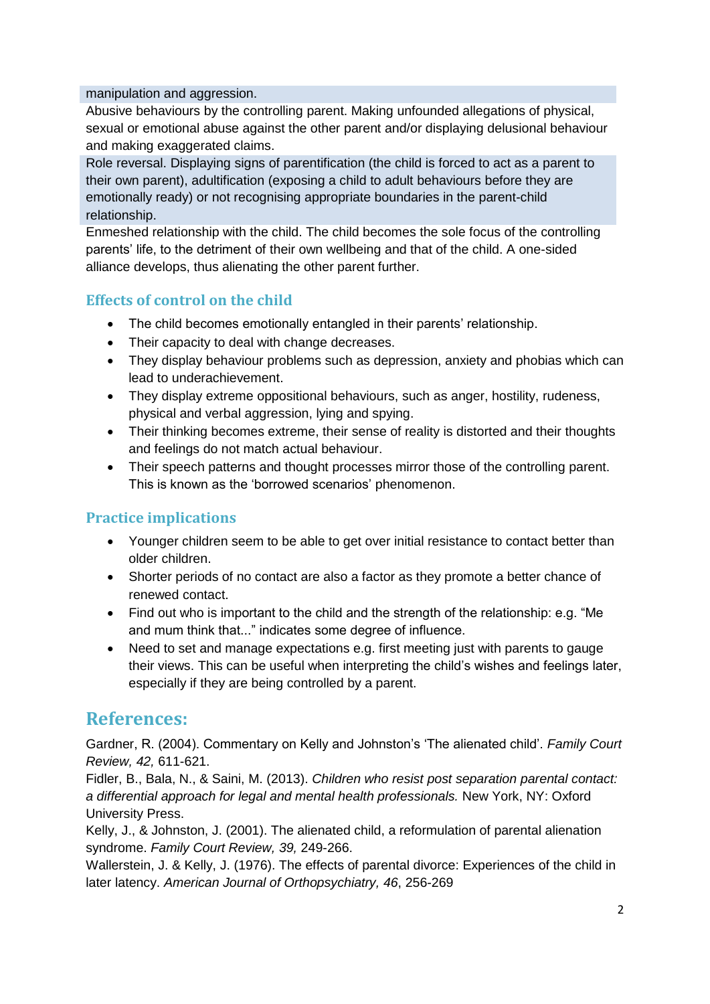#### manipulation and aggression.

Abusive behaviours by the controlling parent. Making unfounded allegations of physical, sexual or emotional abuse against the other parent and/or displaying delusional behaviour and making exaggerated claims.

Role reversal. Displaying signs of parentification (the child is forced to act as a parent to their own parent), adultification (exposing a child to adult behaviours before they are emotionally ready) or not recognising appropriate boundaries in the parent-child relationship.

Enmeshed relationship with the child. The child becomes the sole focus of the controlling parents' life, to the detriment of their own wellbeing and that of the child. A one-sided alliance develops, thus alienating the other parent further.

# **Effects of control on the child**

- The child becomes emotionally entangled in their parents' relationship.
- Their capacity to deal with change decreases.
- They display behaviour problems such as depression, anxiety and phobias which can lead to underachievement.
- They display extreme oppositional behaviours, such as anger, hostility, rudeness, physical and verbal aggression, lying and spying.
- Their thinking becomes extreme, their sense of reality is distorted and their thoughts and feelings do not match actual behaviour.
- Their speech patterns and thought processes mirror those of the controlling parent. This is known as the 'borrowed scenarios' phenomenon.

### **Practice implications**

- Younger children seem to be able to get over initial resistance to contact better than older children.
- Shorter periods of no contact are also a factor as they promote a better chance of renewed contact.
- Find out who is important to the child and the strength of the relationship: e.g. "Me and mum think that..." indicates some degree of influence.
- Need to set and manage expectations e.g. first meeting just with parents to gauge their views. This can be useful when interpreting the child's wishes and feelings later, especially if they are being controlled by a parent.

# **References:**

Gardner, R. (2004). Commentary on Kelly and Johnston's 'The alienated child'. *Family Court Review, 42,* 611-621.

Fidler, B., Bala, N., & Saini, M. (2013). *Children who resist post separation parental contact: a differential approach for legal and mental health professionals.* New York, NY: Oxford University Press.

Kelly, J., & Johnston, J. (2001). The alienated child, a reformulation of parental alienation syndrome. *Family Court Review, 39,* 249-266.

Wallerstein, J. & Kelly, J. (1976). The effects of parental divorce: Experiences of the child in later latency. *American Journal of Orthopsychiatry, 46*, 256-269